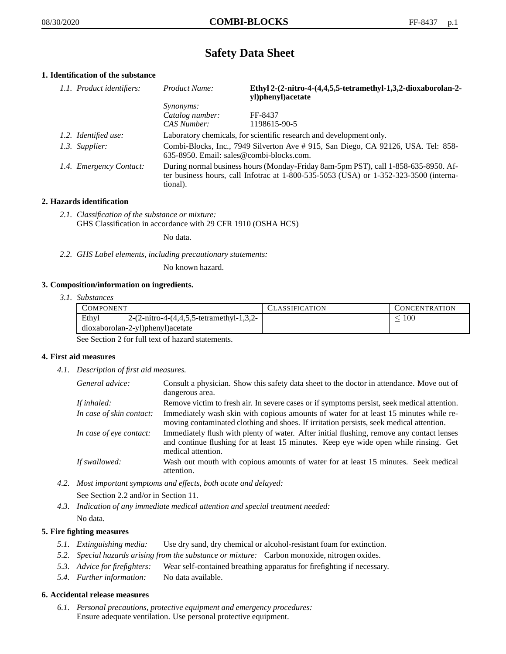# **Safety Data Sheet**

## **1. Identification of the substance**

| 1.1. Product identifiers: | Product Name:                                                                                                                                                                           | Ethyl 2-(2-nitro-4-(4,4,5,5-tetramethyl-1,3,2-dioxaborolan-2-<br>yl)phenyl)acetate |
|---------------------------|-----------------------------------------------------------------------------------------------------------------------------------------------------------------------------------------|------------------------------------------------------------------------------------|
|                           | <i>Synonyms:</i>                                                                                                                                                                        |                                                                                    |
|                           | Catalog number:                                                                                                                                                                         | FF-8437                                                                            |
|                           | CAS Number:                                                                                                                                                                             | 1198615-90-5                                                                       |
| 1.2. Identified use:      | Laboratory chemicals, for scientific research and development only.                                                                                                                     |                                                                                    |
| 1.3. Supplier:            | Combi-Blocks, Inc., 7949 Silverton Ave #915, San Diego, CA 92126, USA. Tel: 858-<br>635-8950. Email: sales@combi-blocks.com.                                                            |                                                                                    |
| 1.4. Emergency Contact:   | During normal business hours (Monday-Friday 8am-5pm PST), call 1-858-635-8950. Af-<br>ter business hours, call Infotrac at 1-800-535-5053 (USA) or 1-352-323-3500 (interna-<br>tional). |                                                                                    |

#### **2. Hazards identification**

*2.1. Classification of the substance or mixture:* GHS Classification in accordance with 29 CFR 1910 (OSHA HCS)

No data.

*2.2. GHS Label elements, including precautionary statements:*

No known hazard.

#### **3. Composition/information on ingredients.**

*3.1. Substances*

| COMPONENT                        |                                                                  | CLASSIFICATION | CONCENTRATION |
|----------------------------------|------------------------------------------------------------------|----------------|---------------|
| Ethyl                            | 2- $(2\text{-nitro-4-}(4,4,5,5\text{-tetramethyl-1},3,2\text{-}$ |                | 100           |
| dioxaborolan-2-yl)phenyl)acetate |                                                                  |                |               |

See Section 2 for full text of hazard statements.

#### **4. First aid measures**

*4.1. Description of first aid measures.*

| General advice:          | Consult a physician. Show this safety data sheet to the doctor in attendance. Move out of<br>dangerous area.                                                                                            |
|--------------------------|---------------------------------------------------------------------------------------------------------------------------------------------------------------------------------------------------------|
| If inhaled:              | Remove victim to fresh air. In severe cases or if symptoms persist, seek medical attention.                                                                                                             |
| In case of skin contact: | Immediately wash skin with copious amounts of water for at least 15 minutes while re-<br>moving contaminated clothing and shoes. If irritation persists, seek medical attention.                        |
| In case of eye contact:  | Immediately flush with plenty of water. After initial flushing, remove any contact lenses<br>and continue flushing for at least 15 minutes. Keep eye wide open while rinsing. Get<br>medical attention. |
| If swallowed:            | Wash out mouth with copious amounts of water for at least 15 minutes. Seek medical<br>attention.                                                                                                        |

- *4.2. Most important symptoms and effects, both acute and delayed:* See Section 2.2 and/or in Section 11.
- *4.3. Indication of any immediate medical attention and special treatment needed:* No data.

### **5. Fire fighting measures**

- *5.1. Extinguishing media:* Use dry sand, dry chemical or alcohol-resistant foam for extinction.
- *5.2. Special hazards arising from the substance or mixture:* Carbon monoxide, nitrogen oxides.
- *5.3. Advice for firefighters:* Wear self-contained breathing apparatus for firefighting if necessary.
- *5.4. Further information:* No data available.

#### **6. Accidental release measures**

*6.1. Personal precautions, protective equipment and emergency procedures:* Ensure adequate ventilation. Use personal protective equipment.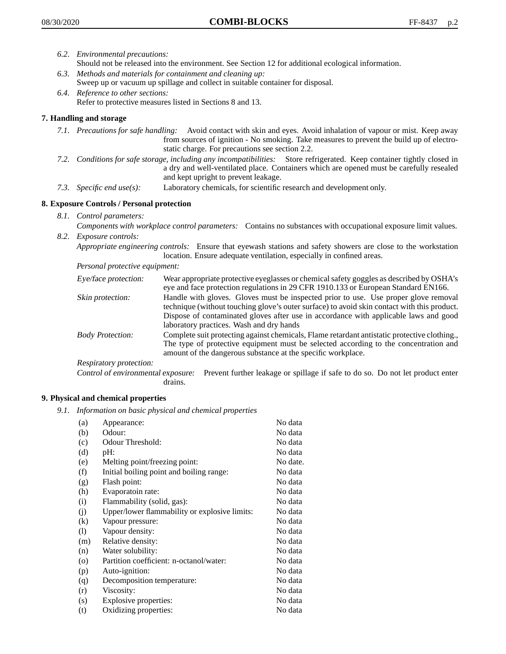- *6.2. Environmental precautions:*
	- Should not be released into the environment. See Section 12 for additional ecological information.
- *6.3. Methods and materials for containment and cleaning up:* Sweep up or vacuum up spillage and collect in suitable container for disposal.
- *6.4. Reference to other sections:* Refer to protective measures listed in Sections 8 and 13.

### **7. Handling and storage**

- *7.1. Precautions for safe handling:* Avoid contact with skin and eyes. Avoid inhalation of vapour or mist. Keep away from sources of ignition - No smoking. Take measures to prevent the build up of electrostatic charge. For precautions see section 2.2.
- *7.2. Conditions for safe storage, including any incompatibilities:* Store refrigerated. Keep container tightly closed in a dry and well-ventilated place. Containers which are opened must be carefully resealed and kept upright to prevent leakage.
- *7.3. Specific end use(s):* Laboratory chemicals, for scientific research and development only.

#### **8. Exposure Controls / Personal protection**

*8.1. Control parameters:*

*Components with workplace control parameters:* Contains no substances with occupational exposure limit values. *8.2. Exposure controls:*

*Appropriate engineering controls:* Ensure that eyewash stations and safety showers are close to the workstation location. Ensure adequate ventilation, especially in confined areas.

*Personal protective equipment:*

| Eye/face protection:    | Wear appropriate protective eyeglasses or chemical safety goggles as described by OSHA's<br>eye and face protection regulations in 29 CFR 1910.133 or European Standard EN166.                                                                                                                                         |
|-------------------------|------------------------------------------------------------------------------------------------------------------------------------------------------------------------------------------------------------------------------------------------------------------------------------------------------------------------|
| Skin protection:        | Handle with gloves. Gloves must be inspected prior to use. Use proper glove removal<br>technique (without touching glove's outer surface) to avoid skin contact with this product.<br>Dispose of contaminated gloves after use in accordance with applicable laws and good<br>laboratory practices. Wash and dry hands |
| <b>Body Protection:</b> | Complete suit protecting against chemicals, Flame retardant antistatic protective clothing.,<br>The type of protective equipment must be selected according to the concentration and<br>amount of the dangerous substance at the specific workplace.                                                                   |
| Respiratory protection: |                                                                                                                                                                                                                                                                                                                        |

Control of environmental exposure: Prevent further leakage or spillage if safe to do so. Do not let product enter drains.

#### **9. Physical and chemical properties**

*9.1. Information on basic physical and chemical properties*

| (a)                          | Appearance:                                   | No data  |
|------------------------------|-----------------------------------------------|----------|
| (b)                          | Odour:                                        | No data  |
| (c)                          | Odour Threshold:                              | No data  |
| (d)                          | pH:                                           | No data  |
| (e)                          | Melting point/freezing point:                 | No date. |
| (f)                          | Initial boiling point and boiling range:      | No data  |
| (g)                          | Flash point:                                  | No data  |
| (h)                          | Evaporatoin rate:                             | No data  |
| (i)                          | Flammability (solid, gas):                    | No data  |
| (j)                          | Upper/lower flammability or explosive limits: | No data  |
| (k)                          | Vapour pressure:                              | No data  |
| $\left( \frac{1}{2} \right)$ | Vapour density:                               | No data  |
| (m)                          | Relative density:                             | No data  |
| (n)                          | Water solubility:                             | No data  |
| $\circ$                      | Partition coefficient: n-octanol/water:       | No data  |
| (p)                          | Auto-ignition:                                | No data  |
| (q)                          | Decomposition temperature:                    | No data  |
| (r)                          | Viscosity:                                    | No data  |
| (s)                          | Explosive properties:                         | No data  |
| (t)                          | Oxidizing properties:                         | No data  |